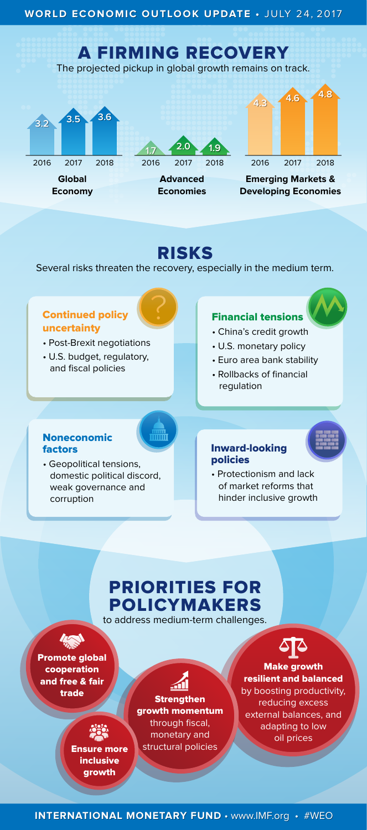Make growth resilient and balanced by boosting productivity, reducing excess external balances, and adapting to low oil prices

**INTERNATIONAL MONETARY FUND · www.IMF.org · #WEO** 

#### Financial tensions • China's credit growth • U.S. monetary policy • Euro area bank stability • Rollbacks of financial regulation Noneconomic factors • Geopolitical tensions, domestic political discord, weak governance and corruption Inward-looking policies • Protectionism and lack of market reforms that hinder inclusive growth Continued policy uncertainty • Post-Brexit negotiations • U.S. budget, regulatory, and fiscal policies

# RISKS

Several risks threaten the recovery, especially in the medium term.

## PRIORITIES FOR POLICYMAKERS

to address medium-term challenges.



Promote global cooperation and free & fair



inclusive growth



trade **Strengthen** growth momentum through fiscal, monetary and **Ensure more** structural policies



# A FIRMING RECOVERY

The projected pickup in global growth remains on track.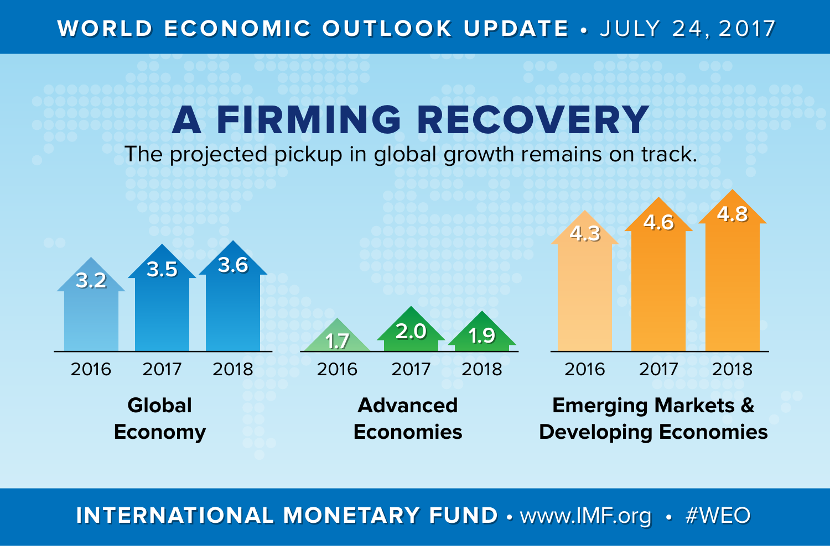#### WORLD ECONOMIC OUTLOOK UPDATE · JULY 24, 2017

## A FIRMING RECOVERY

The projected pickup in global growth remains on track.



**INTERNATIONAL MONETARY FUND • www.IMF.org • #WEO**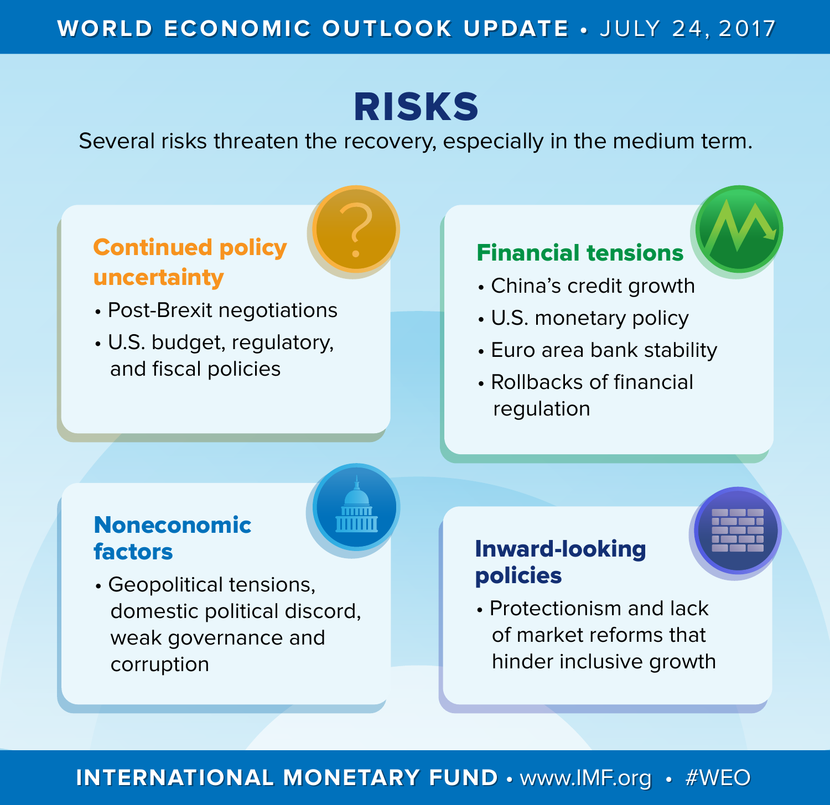### WORLD ECONOMIC OUTLOOK UPDATE · JULY 24, 2017

## RISKS

Several risks threaten the recovery, especially in the medium term.

## Continued policy uncertainty

- Post-Brexit negotiations
- U.S. budget, regulatory, and fiscal policies

### Financial tensions

- China's credit growth
- U.S. monetary policy
- Euro area bank stability
- Rollbacks of financial regulation

### Noneconomic factors

• Geopolitical tensions, domestic political discord, weak governance and corruption

### Inward-looking policies

• Protectionism and lack of market reforms that hinder inclusive growth

### **INTERNATIONAL MONETARY FUND • www.IMF.org • #WEO**